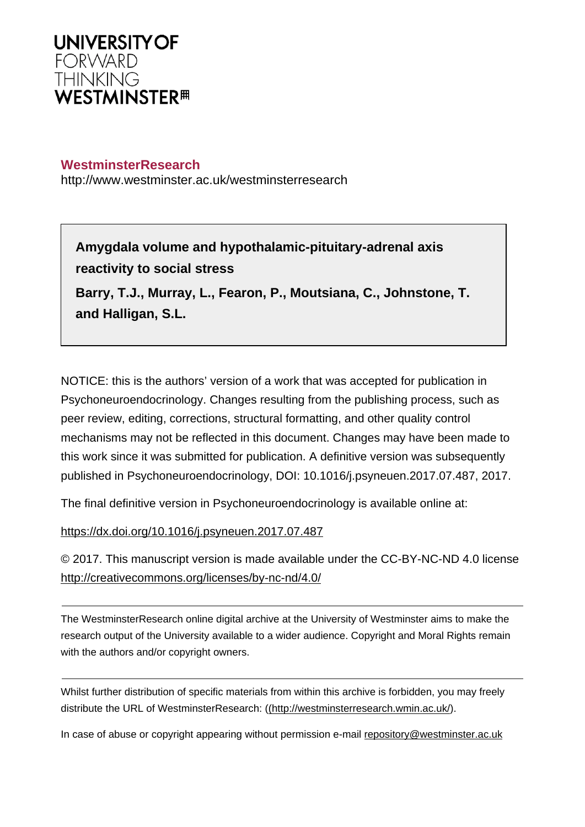

# **WestminsterResearch**

http://www.westminster.ac.uk/westminsterresearch

**Amygdala volume and hypothalamic-pituitary-adrenal axis reactivity to social stress** 

**Barry, T.J., Murray, L., Fearon, P., Moutsiana, C., Johnstone, T. and Halligan, S.L.**

NOTICE: this is the authors' version of a work that was accepted for publication in Psychoneuroendocrinology. Changes resulting from the publishing process, such as peer review, editing, corrections, structural formatting, and other quality control mechanisms may not be reflected in this document. Changes may have been made to this work since it was submitted for publication. A definitive version was subsequently published in Psychoneuroendocrinology, DOI: 10.1016/j.psyneuen.2017.07.487, 2017.

The final definitive version in Psychoneuroendocrinology is available online at:

<https://dx.doi.org/10.1016/j.psyneuen.2017.07.487>

© 2017. This manuscript version is made available under the CC-BY-NC-ND 4.0 license <http://creativecommons.org/licenses/by-nc-nd/4.0/>

The WestminsterResearch online digital archive at the University of Westminster aims to make the research output of the University available to a wider audience. Copyright and Moral Rights remain with the authors and/or copyright owners.

Whilst further distribution of specific materials from within this archive is forbidden, you may freely distribute the URL of WestminsterResearch: [\(\(http://westminsterresearch.wmin.ac.uk/](http://westminsterresearch.wmin.ac.uk/)).

In case of abuse or copyright appearing without permission e-mail <repository@westminster.ac.uk>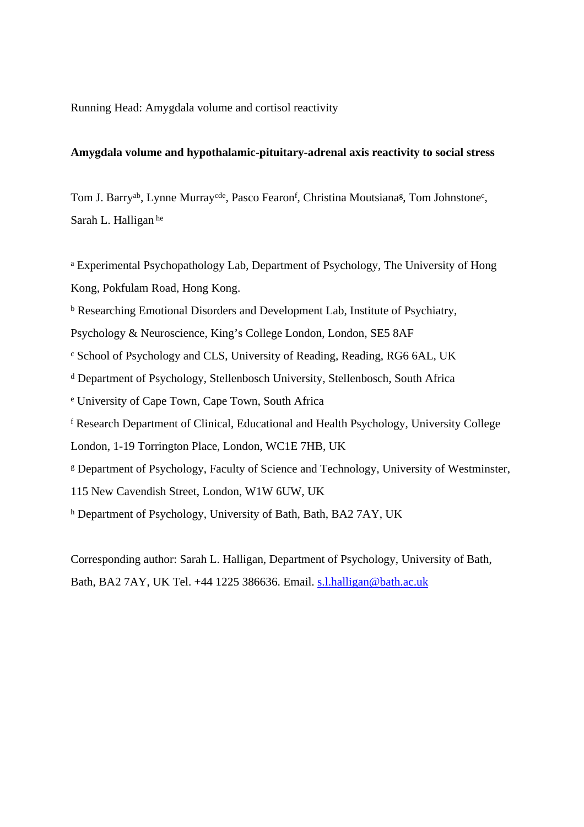Running Head: Amygdala volume and cortisol reactivity

## **Amygdala volume and hypothalamic-pituitary-adrenal axis reactivity to social stress**

Tom J. Barry<sup>ab</sup>, Lynne Murray<sup>cde</sup>, Pasco Fearon<sup>f</sup>, Christina Moutsiana<sup>g</sup>, Tom Johnstone<sup>c</sup>, Sarah L. Halligan he

<sup>a</sup> Experimental Psychopathology Lab, Department of Psychology, The University of Hong Kong, Pokfulam Road, Hong Kong.

<sup>b</sup> Researching Emotional Disorders and Development Lab, Institute of Psychiatry,

Psychology & Neuroscience, King's College London, London, SE5 8AF

c School of Psychology and CLS, University of Reading, Reading, RG6 6AL, UK

d Department of Psychology, Stellenbosch University, Stellenbosch, South Africa

e University of Cape Town, Cape Town, South Africa

f Research Department of Clinical, Educational and Health Psychology, University College

London, 1-19 Torrington Place, London, WC1E 7HB, UK

g Department of Psychology, Faculty of Science and Technology, University of Westminster,

115 New Cavendish Street, London, W1W 6UW, UK

h Department of Psychology, University of Bath, Bath, BA2 7AY, UK

Corresponding author: Sarah L. Halligan, Department of Psychology, University of Bath, Bath, BA2 7AY, UK Tel. +44 1225 386636. Email. [s.l.halligan@bath.ac.uk](mailto:s.l.halligan@bath.ac.uk)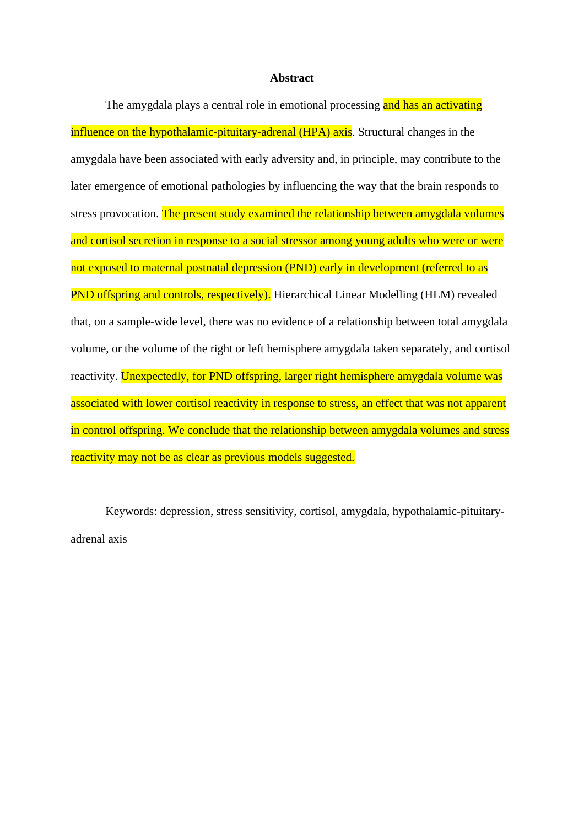### **Abstract**

The amygdala plays a central role in emotional processing and has an activating influence on the hypothalamic-pituitary-adrenal (HPA) axis. Structural changes in the amygdala have been associated with early adversity and, in principle, may contribute to the later emergence of emotional pathologies by influencing the way that the brain responds to stress provocation. The present study examined the relationship between amygdala volumes and cortisol secretion in response to a social stressor among young adults who were or were not exposed to maternal postnatal depression (PND) early in development (referred to as PND offspring and controls, respectively). Hierarchical Linear Modelling (HLM) revealed that, on a sample-wide level, there was no evidence of a relationship between total amygdala volume, or the volume of the right or left hemisphere amygdala taken separately, and cortisol reactivity. Unexpectedly, for PND offspring, larger right hemisphere amygdala volume was associated with lower cortisol reactivity in response to stress, an effect that was not apparent in control offspring. We conclude that the relationship between amygdala volumes and stress reactivity may not be as clear as previous models suggested.

Keywords: depression, stress sensitivity, cortisol, amygdala, hypothalamic-pituitaryadrenal axis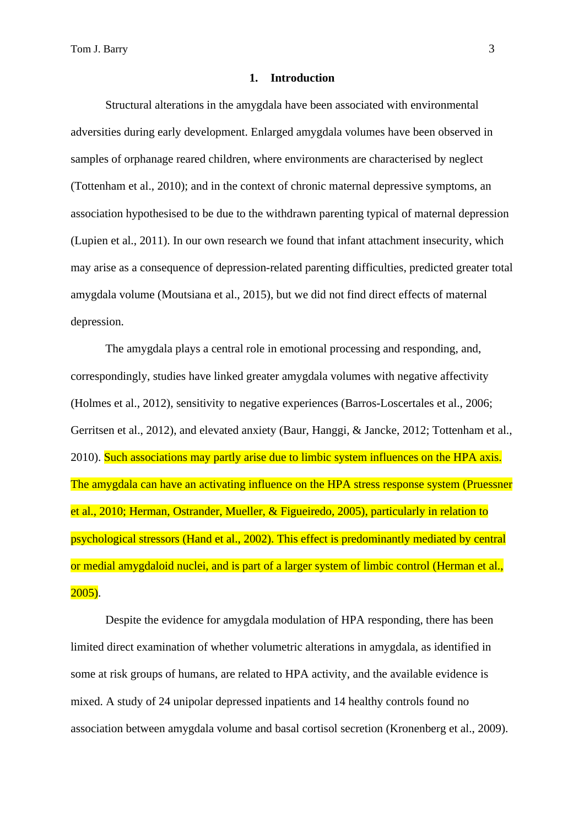Tom J. Barry 3

### **1. Introduction**

Structural alterations in the amygdala have been associated with environmental adversities during early development. Enlarged amygdala volumes have been observed in samples of orphanage reared children, where environments are characterised by neglect (Tottenham et al., 2010); and in the context of chronic maternal depressive symptoms, an association hypothesised to be due to the withdrawn parenting typical of maternal depression (Lupien et al., 2011). In our own research we found that infant attachment insecurity, which may arise as a consequence of depression-related parenting difficulties, predicted greater total amygdala volume (Moutsiana et al., 2015), but we did not find direct effects of maternal depression.

The amygdala plays a central role in emotional processing and responding, and, correspondingly, studies have linked greater amygdala volumes with negative affectivity (Holmes et al., 2012), sensitivity to negative experiences (Barros-Loscertales et al., 2006; Gerritsen et al., 2012), and elevated anxiety (Baur, Hanggi, & Jancke, 2012; Tottenham et al., 2010). Such associations may partly arise due to limbic system influences on the HPA axis. The amygdala can have an activating influence on the HPA stress response system (Pruessner et al., 2010; Herman, Ostrander, Mueller, & Figueiredo, 2005), particularly in relation to psychological stressors (Hand et al., 2002). This effect is predominantly mediated by central or medial amygdaloid nuclei, and is part of a larger system of limbic control (Herman et al.,  $2005$ ).

Despite the evidence for amygdala modulation of HPA responding, there has been limited direct examination of whether volumetric alterations in amygdala, as identified in some at risk groups of humans, are related to HPA activity, and the available evidence is mixed. A study of 24 unipolar depressed inpatients and 14 healthy controls found no association between amygdala volume and basal cortisol secretion (Kronenberg et al., 2009).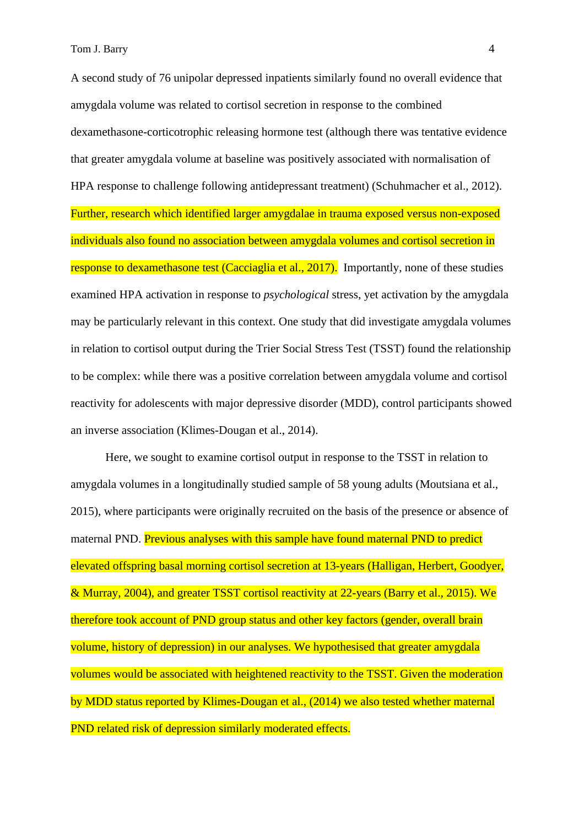A second study of 76 unipolar depressed inpatients similarly found no overall evidence that amygdala volume was related to cortisol secretion in response to the combined dexamethasone-corticotrophic releasing hormone test (although there was tentative evidence that greater amygdala volume at baseline was positively associated with normalisation of HPA response to challenge following antidepressant treatment) (Schuhmacher et al., 2012). Further, research which identified larger amygdalae in trauma exposed versus non-exposed individuals also found no association between amygdala volumes and cortisol secretion in response to dexamethasone test (Cacciaglia et al., 2017). Importantly, none of these studies examined HPA activation in response to *psychological* stress, yet activation by the amygdala may be particularly relevant in this context. One study that did investigate amygdala volumes in relation to cortisol output during the Trier Social Stress Test (TSST) found the relationship to be complex: while there was a positive correlation between amygdala volume and cortisol reactivity for adolescents with major depressive disorder (MDD), control participants showed an inverse association (Klimes-Dougan et al., 2014).

Here, we sought to examine cortisol output in response to the TSST in relation to amygdala volumes in a longitudinally studied sample of 58 young adults (Moutsiana et al., 2015), where participants were originally recruited on the basis of the presence or absence of maternal PND. Previous analyses with this sample have found maternal PND to predict elevated offspring basal morning cortisol secretion at 13-years (Halligan, Herbert, Goodyer, & Murray, 2004), and greater TSST cortisol reactivity at 22-years (Barry et al., 2015). We therefore took account of PND group status and other key factors (gender, overall brain volume, history of depression) in our analyses. We hypothesised that greater amygdala volumes would be associated with heightened reactivity to the TSST. Given the moderation by MDD status reported by Klimes-Dougan et al., (2014) we also tested whether maternal PND related risk of depression similarly moderated effects.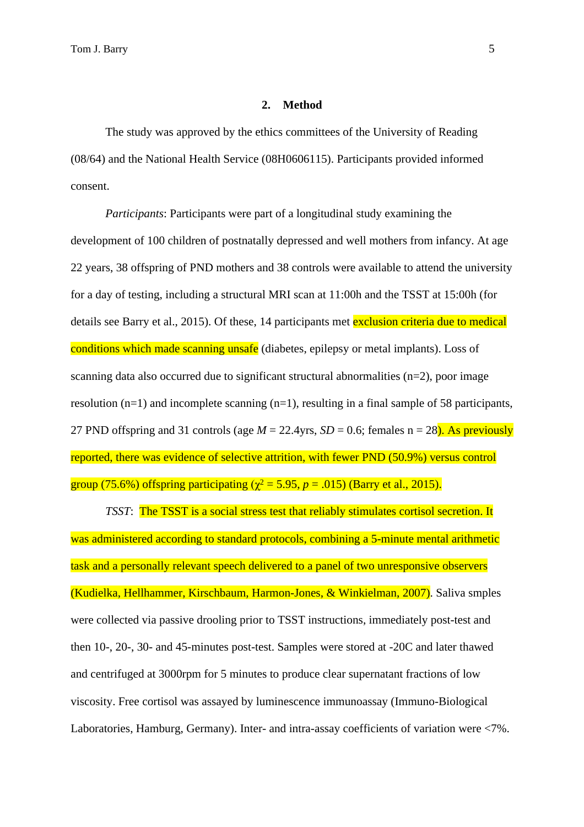#### **2. Method**

The study was approved by the ethics committees of the University of Reading (08/64) and the National Health Service (08H0606115). Participants provided informed consent.

*Participants*: Participants were part of a longitudinal study examining the development of 100 children of postnatally depressed and well mothers from infancy. At age 22 years, 38 offspring of PND mothers and 38 controls were available to attend the university for a day of testing, including a structural MRI scan at 11:00h and the TSST at 15:00h (for details see Barry et al., 2015). Of these, 14 participants met exclusion criteria due to medical conditions which made scanning unsafe (diabetes, epilepsy or metal implants). Loss of scanning data also occurred due to significant structural abnormalities  $(n=2)$ , poor image resolution  $(n=1)$  and incomplete scanning  $(n=1)$ , resulting in a final sample of 58 participants, 27 PND offspring and 31 controls (age  $M = 22.4$ yrs,  $SD = 0.6$ ; females n = 28). As previously reported, there was evidence of selective attrition, with fewer PND (50.9%) versus control group (75.6%) offspring participating ( $\chi^2$  = 5.95, *p* = .015) (Barry et al., 2015).

*TSST*: The TSST is a social stress test that reliably stimulates cortisol secretion. It was administered according to standard protocols, combining a 5-minute mental arithmetic task and a personally relevant speech delivered to a panel of two unresponsive observers (Kudielka, Hellhammer, Kirschbaum, Harmon-Jones, & Winkielman, 2007). Saliva smples were collected via passive drooling prior to TSST instructions, immediately post-test and then 10-, 20-, 30- and 45-minutes post-test. Samples were stored at -20C and later thawed and centrifuged at 3000rpm for 5 minutes to produce clear supernatant fractions of low viscosity. Free cortisol was assayed by luminescence immunoassay (Immuno-Biological Laboratories, Hamburg, Germany). Inter- and intra-assay coefficients of variation were <7%.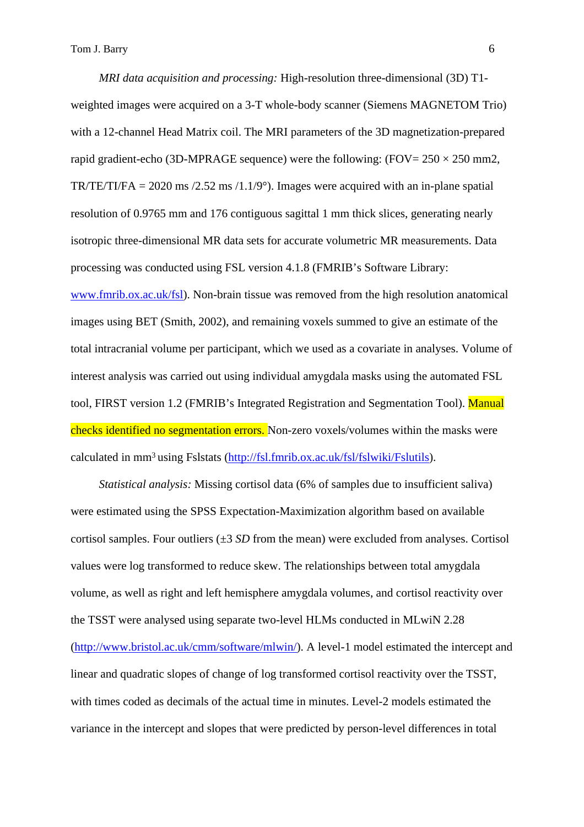*MRI data acquisition and processing:* High-resolution three-dimensional (3D) T1 weighted images were acquired on a 3-T whole-body scanner (Siemens MAGNETOM Trio) with a 12-channel Head Matrix coil. The MRI parameters of the 3D magnetization-prepared rapid gradient-echo (3D-MPRAGE sequence) were the following: (FOV=  $250 \times 250$  mm2, TR/TE/TI/FA = 2020 ms /2.52 ms /1.1/9 $^{\circ}$ ). Images were acquired with an in-plane spatial resolution of 0.9765 mm and 176 contiguous sagittal 1 mm thick slices, generating nearly isotropic three-dimensional MR data sets for accurate volumetric MR measurements. Data processing was conducted using FSL version 4.1.8 (FMRIB's Software Library: [www.fmrib.ox.ac.uk/fsl](http://www.fmrib.ox.ac.uk/fsl)). Non-brain tissue was removed from the high resolution anatomical images using BET (Smith, 2002), and remaining voxels summed to give an estimate of the total intracranial volume per participant, which we used as a covariate in analyses. Volume of interest analysis was carried out using individual amygdala masks using the automated FSL tool, FIRST version 1.2 (FMRIB's Integrated Registration and Segmentation Tool). Manual checks identified no segmentation errors. Non-zero voxels/volumes within the masks were calculated in mm<sup>3</sup>using Fslstats (<http://fsl.fmrib.ox.ac.uk/fsl/fslwiki/Fslutils>).

*Statistical analysis:* Missing cortisol data (6% of samples due to insufficient saliva) were estimated using the SPSS Expectation-Maximization algorithm based on available cortisol samples. Four outliers (±3 *SD* from the mean) were excluded from analyses. Cortisol values were log transformed to reduce skew. The relationships between total amygdala volume, as well as right and left hemisphere amygdala volumes, and cortisol reactivity over the TSST were analysed using separate two-level HLMs conducted in MLwiN 2.28 (<http://www.bristol.ac.uk/cmm/software/mlwin/>). A level-1 model estimated the intercept and linear and quadratic slopes of change of log transformed cortisol reactivity over the TSST, with times coded as decimals of the actual time in minutes. Level-2 models estimated the variance in the intercept and slopes that were predicted by person-level differences in total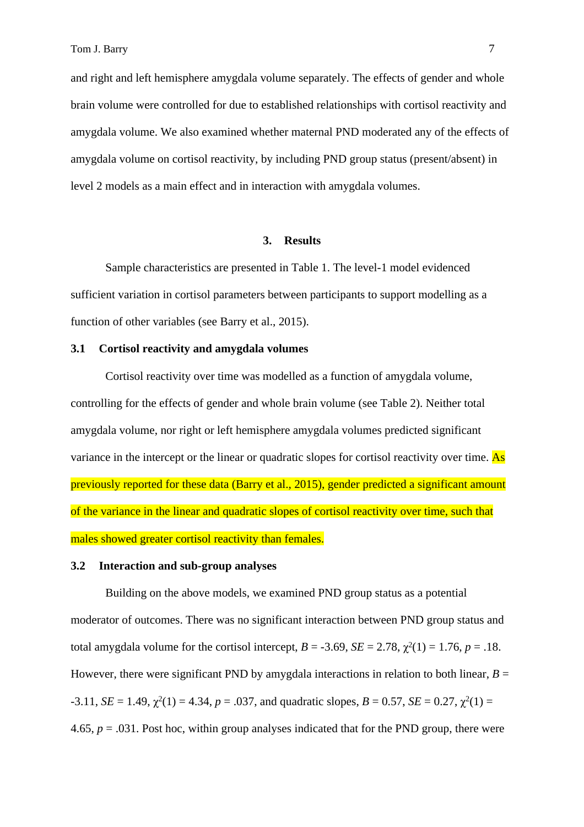and right and left hemisphere amygdala volume separately. The effects of gender and whole brain volume were controlled for due to established relationships with cortisol reactivity and amygdala volume. We also examined whether maternal PND moderated any of the effects of amygdala volume on cortisol reactivity, by including PND group status (present/absent) in level 2 models as a main effect and in interaction with amygdala volumes.

#### **3. Results**

Sample characteristics are presented in Table 1. The level-1 model evidenced sufficient variation in cortisol parameters between participants to support modelling as a function of other variables (see Barry et al., 2015).

# **3.1 Cortisol reactivity and amygdala volumes**

Cortisol reactivity over time was modelled as a function of amygdala volume, controlling for the effects of gender and whole brain volume (see Table 2). Neither total amygdala volume, nor right or left hemisphere amygdala volumes predicted significant variance in the intercept or the linear or quadratic slopes for cortisol reactivity over time. As previously reported for these data (Barry et al., 2015), gender predicted a significant amount of the variance in the linear and quadratic slopes of cortisol reactivity over time, such that males showed greater cortisol reactivity than females.

## **3.2 Interaction and sub-group analyses**

Building on the above models, we examined PND group status as a potential moderator of outcomes. There was no significant interaction between PND group status and total amygdala volume for the cortisol intercept,  $B = -3.69$ ,  $SE = 2.78$ ,  $\chi^2(1) = 1.76$ ,  $p = .18$ . However, there were significant PND by amygdala interactions in relation to both linear,  $B =$  $-3.11$ , *SE* = 1.49,  $\chi^2(1) = 4.34$ ,  $p = .037$ , and quadratic slopes, *B* = 0.57, *SE* = 0.27,  $\chi^2(1) =$ 4.65,  $p = .031$ . Post hoc, within group analyses indicated that for the PND group, there were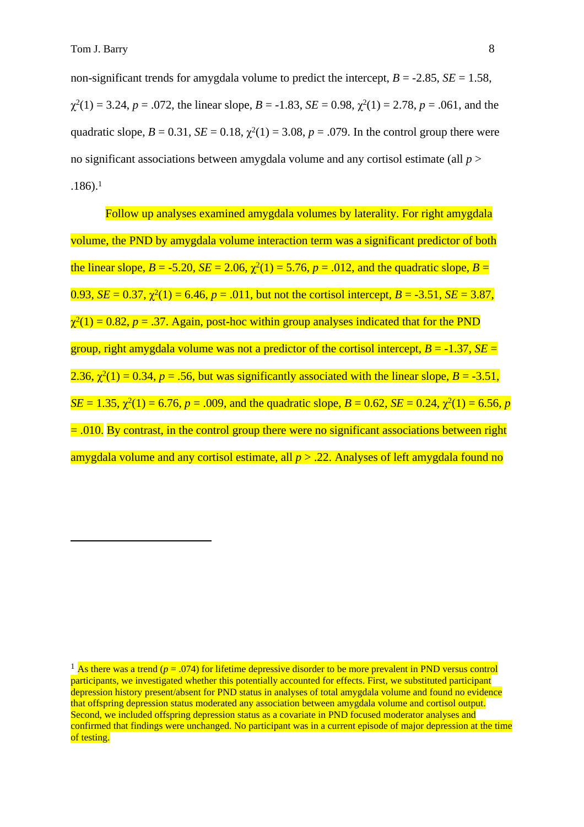non-significant trends for amygdala volume to predict the intercept,  $B = -2.85$ ,  $SE = 1.58$ ,  $\chi^2(1) = 3.24$ ,  $p = .072$ , the linear slope,  $B = -1.83$ ,  $SE = 0.98$ ,  $\chi^2(1) = 2.78$ ,  $p = .061$ , and the quadratic slope,  $B = 0.31$ ,  $SE = 0.18$ ,  $\chi^2(1) = 3.08$ ,  $p = .079$ . In the control group there were no significant associations between amygdala volume and any cortisol estimate (all *p* > .186).<sup>1</sup>

Follow up analyses examined amygdala volumes by laterality. For right amygdala volume, the PND by amygdala volume interaction term was a significant predictor of both the linear slope,  $B = -5.20$ ,  $SE = 2.06$ ,  $\chi^2(1) = 5.76$ ,  $p = .012$ , and the quadratic slope,  $B =$  $0.93$ , *SE* = 0.37,  $\chi^2(1)$  = 6.46, *p* = .011, but not the cortisol intercept, *B* = -3.51, *SE* = 3.87,  $\chi^2(1) = 0.82$ ,  $p = .37$ . Again, post-hoc within group analyses indicated that for the PND group, right amygdala volume was not a predictor of the cortisol intercept,  $B = -1.37$ ,  $SE =$ 2.36,  $\chi^2(1) = 0.34$ ,  $p = .56$ , but was significantly associated with the linear slope,  $B = -3.51$ ,  $SE = 1.35$ ,  $\chi^2(1) = 6.76$ ,  $p = .009$ , and the quadratic slope,  $B = 0.62$ ,  $SE = 0.24$ ,  $\chi^2(1) = 6.56$ ,  $p$  $= .010$ . By contrast, in the control group there were no significant associations between right amygdala volume and any cortisol estimate, all *p* > .22. Analyses of left amygdala found no

<sup>&</sup>lt;sup>1</sup> As there was a trend ( $p = .074$ ) for lifetime depressive disorder to be more prevalent in PND versus control participants, we investigated whether this potentially accounted for effects. First, we substituted participant depression history present/absent for PND status in analyses of total amygdala volume and found no evidence that offspring depression status moderated any association between amygdala volume and cortisol output. Second, we included offspring depression status as a covariate in PND focused moderator analyses and confirmed that findings were unchanged. No participant was in a current episode of major depression at the time of testing.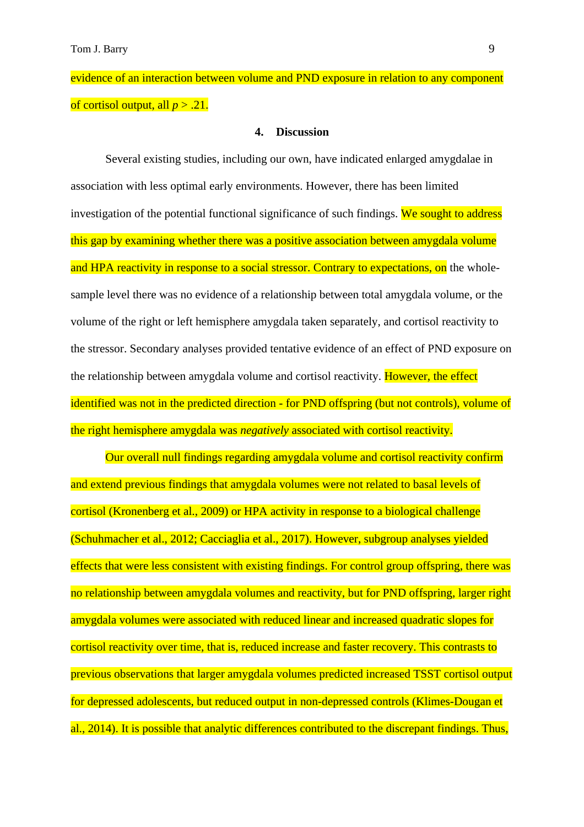evidence of an interaction between volume and PND exposure in relation to any component of cortisol output, all  $p > .21$ .

#### **4. Discussion**

Several existing studies, including our own, have indicated enlarged amygdalae in association with less optimal early environments. However, there has been limited investigation of the potential functional significance of such findings. We sought to address this gap by examining whether there was a positive association between amygdala volume and HPA reactivity in response to a social stressor. Contrary to expectations, on the wholesample level there was no evidence of a relationship between total amygdala volume, or the volume of the right or left hemisphere amygdala taken separately, and cortisol reactivity to the stressor. Secondary analyses provided tentative evidence of an effect of PND exposure on the relationship between amygdala volume and cortisol reactivity. However, the effect identified was not in the predicted direction - for PND offspring (but not controls), volume of the right hemisphere amygdala was *negatively* associated with cortisol reactivity.

Our overall null findings regarding amygdala volume and cortisol reactivity confirm and extend previous findings that amygdala volumes were not related to basal levels of cortisol (Kronenberg et al., 2009) or HPA activity in response to a biological challenge (Schuhmacher et al., 2012; Cacciaglia et al., 2017). However, subgroup analyses yielded effects that were less consistent with existing findings. For control group offspring, there was no relationship between amygdala volumes and reactivity, but for PND offspring, larger right amygdala volumes were associated with reduced linear and increased quadratic slopes for cortisol reactivity over time, that is, reduced increase and faster recovery. This contrasts to previous observations that larger amygdala volumes predicted increased TSST cortisol output for depressed adolescents, but reduced output in non-depressed controls (Klimes-Dougan et al., 2014). It is possible that analytic differences contributed to the discrepant findings. Thus,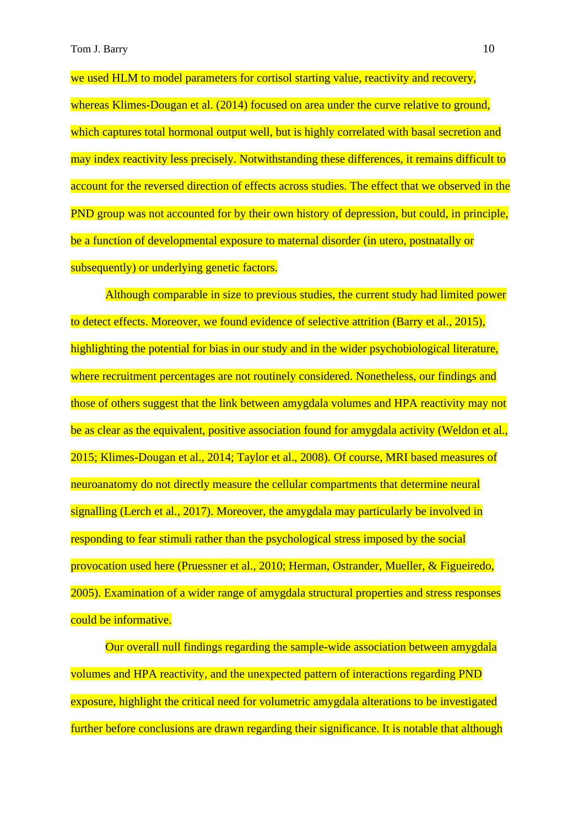we used HLM to model parameters for cortisol starting value, reactivity and recovery, whereas Klimes-Dougan et al. (2014) focused on area under the curve relative to ground, which captures total hormonal output well, but is highly correlated with basal secretion and may index reactivity less precisely. Notwithstanding these differences, it remains difficult to account for the reversed direction of effects across studies. The effect that we observed in the PND group was not accounted for by their own history of depression, but could, in principle, be a function of developmental exposure to maternal disorder (in utero, postnatally or subsequently) or underlying genetic factors.

Although comparable in size to previous studies, the current study had limited power to detect effects. Moreover, we found evidence of selective attrition (Barry et al., 2015), highlighting the potential for bias in our study and in the wider psychobiological literature, where recruitment percentages are not routinely considered. Nonetheless, our findings and those of others suggest that the link between amygdala volumes and HPA reactivity may not be as clear as the equivalent, positive association found for amygdala activity (Weldon et al., 2015; Klimes-Dougan et al., 2014; Taylor et al., 2008). Of course, MRI based measures of neuroanatomy do not directly measure the cellular compartments that determine neural signalling (Lerch et al., 2017). Moreover, the amygdala may particularly be involved in responding to fear stimuli rather than the psychological stress imposed by the social provocation used here (Pruessner et al., 2010; Herman, Ostrander, Mueller, & Figueiredo, 2005). Examination of a wider range of amygdala structural properties and stress responses could be informative.

Our overall null findings regarding the sample-wide association between amygdala volumes and HPA reactivity, and the unexpected pattern of interactions regarding PND exposure, highlight the critical need for volumetric amygdala alterations to be investigated further before conclusions are drawn regarding their significance. It is notable that although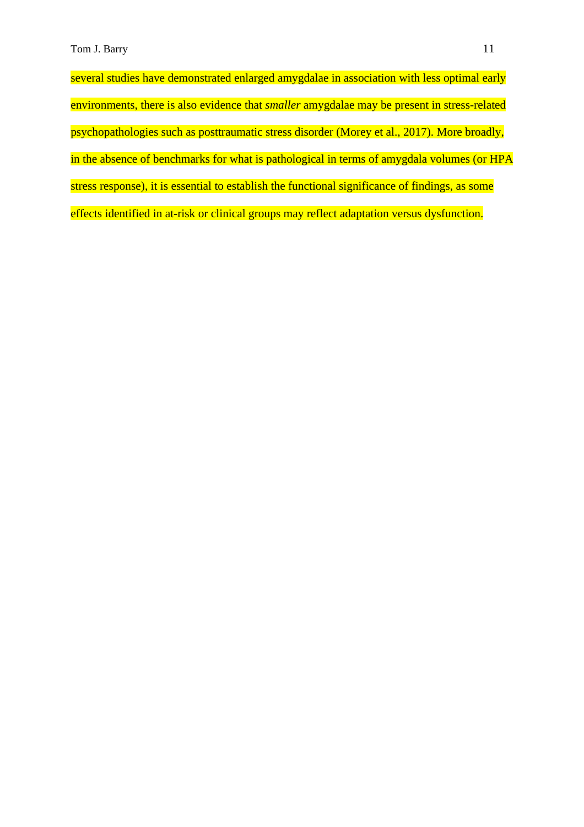several studies have demonstrated enlarged amygdalae in association with less optimal early environments, there is also evidence that *smaller* amygdalae may be present in stress-related psychopathologies such as posttraumatic stress disorder (Morey et al., 2017). More broadly, in the absence of benchmarks for what is pathological in terms of amygdala volumes (or HPA stress response), it is essential to establish the functional significance of findings, as some effects identified in at-risk or clinical groups may reflect adaptation versus dysfunction.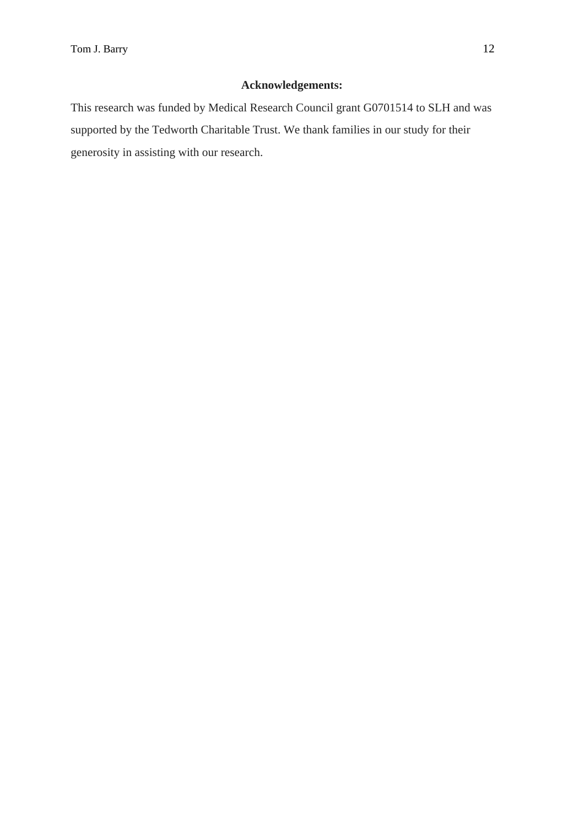# **Acknowledgements:**

This research was funded by Medical Research Council grant G0701514 to SLH and was supported by the Tedworth Charitable Trust. We thank families in our study for their generosity in assisting with our research.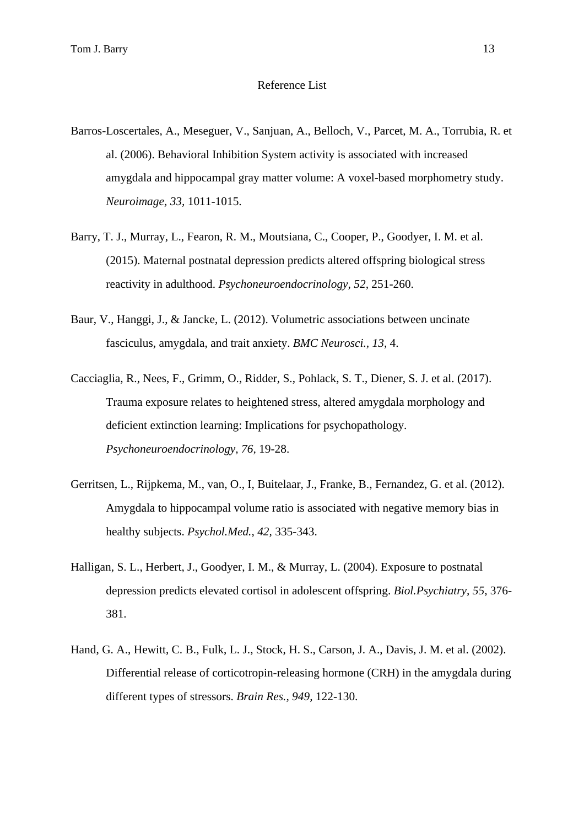### Reference List

- Barros-Loscertales, A., Meseguer, V., Sanjuan, A., Belloch, V., Parcet, M. A., Torrubia, R. et al. (2006). Behavioral Inhibition System activity is associated with increased amygdala and hippocampal gray matter volume: A voxel-based morphometry study. *Neuroimage, 33,* 1011-1015.
- Barry, T. J., Murray, L., Fearon, R. M., Moutsiana, C., Cooper, P., Goodyer, I. M. et al. (2015). Maternal postnatal depression predicts altered offspring biological stress reactivity in adulthood. *Psychoneuroendocrinology, 52,* 251-260.
- Baur, V., Hanggi, J., & Jancke, L. (2012). Volumetric associations between uncinate fasciculus, amygdala, and trait anxiety. *BMC Neurosci., 13,* 4.
- Cacciaglia, R., Nees, F., Grimm, O., Ridder, S., Pohlack, S. T., Diener, S. J. et al. (2017). Trauma exposure relates to heightened stress, altered amygdala morphology and deficient extinction learning: Implications for psychopathology. *Psychoneuroendocrinology, 76,* 19-28.
- Gerritsen, L., Rijpkema, M., van, O., I, Buitelaar, J., Franke, B., Fernandez, G. et al. (2012). Amygdala to hippocampal volume ratio is associated with negative memory bias in healthy subjects. *Psychol.Med., 42,* 335-343.
- Halligan, S. L., Herbert, J., Goodyer, I. M., & Murray, L. (2004). Exposure to postnatal depression predicts elevated cortisol in adolescent offspring. *Biol.Psychiatry, 55,* 376- 381.
- Hand, G. A., Hewitt, C. B., Fulk, L. J., Stock, H. S., Carson, J. A., Davis, J. M. et al. (2002). Differential release of corticotropin-releasing hormone (CRH) in the amygdala during different types of stressors. *Brain Res., 949,* 122-130.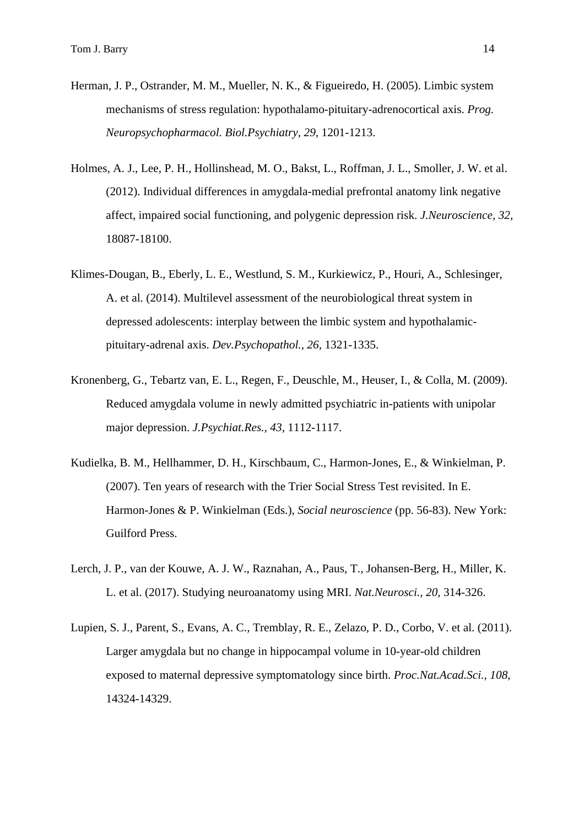- Herman, J. P., Ostrander, M. M., Mueller, N. K., & Figueiredo, H. (2005). Limbic system mechanisms of stress regulation: hypothalamo-pituitary-adrenocortical axis. *Prog. Neuropsychopharmacol. Biol.Psychiatry, 29,* 1201-1213.
- Holmes, A. J., Lee, P. H., Hollinshead, M. O., Bakst, L., Roffman, J. L., Smoller, J. W. et al. (2012). Individual differences in amygdala-medial prefrontal anatomy link negative affect, impaired social functioning, and polygenic depression risk. *J.Neuroscience, 32,* 18087-18100.
- Klimes-Dougan, B., Eberly, L. E., Westlund, S. M., Kurkiewicz, P., Houri, A., Schlesinger, A. et al. (2014). Multilevel assessment of the neurobiological threat system in depressed adolescents: interplay between the limbic system and hypothalamicpituitary-adrenal axis. *Dev.Psychopathol., 26,* 1321-1335.
- Kronenberg, G., Tebartz van, E. L., Regen, F., Deuschle, M., Heuser, I., & Colla, M. (2009). Reduced amygdala volume in newly admitted psychiatric in-patients with unipolar major depression. *J.Psychiat.Res., 43,* 1112-1117.
- Kudielka, B. M., Hellhammer, D. H., Kirschbaum, C., Harmon-Jones, E., & Winkielman, P. (2007). Ten years of research with the Trier Social Stress Test revisited. In E. Harmon-Jones & P. Winkielman (Eds.), *Social neuroscience* (pp. 56-83). New York: Guilford Press.
- Lerch, J. P., van der Kouwe, A. J. W., Raznahan, A., Paus, T., Johansen-Berg, H., Miller, K. L. et al. (2017). Studying neuroanatomy using MRI. *Nat.Neurosci., 20,* 314-326.
- Lupien, S. J., Parent, S., Evans, A. C., Tremblay, R. E., Zelazo, P. D., Corbo, V. et al. (2011). Larger amygdala but no change in hippocampal volume in 10-year-old children exposed to maternal depressive symptomatology since birth. *Proc.Nat.Acad.Sci., 108,* 14324-14329.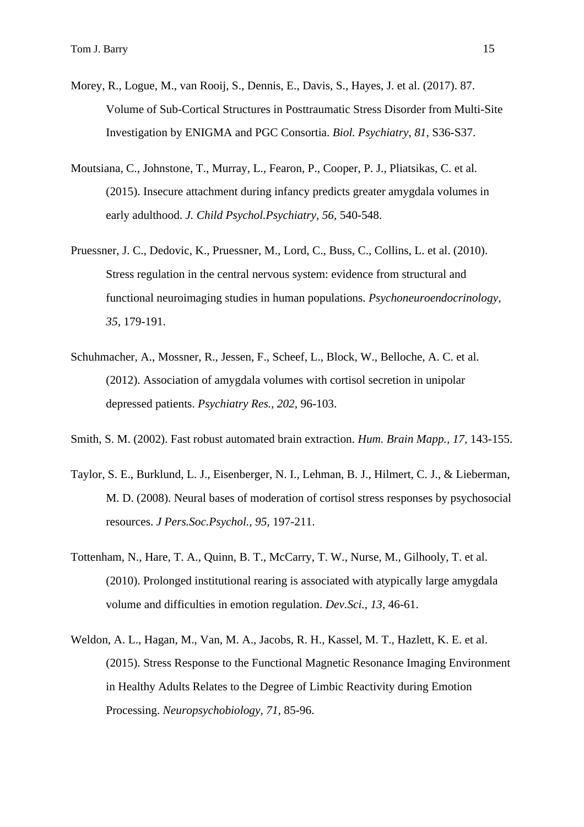- Morey, R., Logue, M., van Rooij, S., Dennis, E., Davis, S., Hayes, J. et al. (2017). 87. Volume of Sub-Cortical Structures in Posttraumatic Stress Disorder from Multi-Site Investigation by ENIGMA and PGC Consortia. *Biol. Psychiatry, 81,* S36-S37.
- Moutsiana, C., Johnstone, T., Murray, L., Fearon, P., Cooper, P. J., Pliatsikas, C. et al. (2015). Insecure attachment during infancy predicts greater amygdala volumes in early adulthood. *J. Child Psychol.Psychiatry, 56,* 540-548.
- Pruessner, J. C., Dedovic, K., Pruessner, M., Lord, C., Buss, C., Collins, L. et al. (2010). Stress regulation in the central nervous system: evidence from structural and functional neuroimaging studies in human populations. *Psychoneuroendocrinology, 35,* 179-191.
- Schuhmacher, A., Mossner, R., Jessen, F., Scheef, L., Block, W., Belloche, A. C. et al. (2012). Association of amygdala volumes with cortisol secretion in unipolar depressed patients. *Psychiatry Res., 202,* 96-103.
- Smith, S. M. (2002). Fast robust automated brain extraction. *Hum. Brain Mapp., 17,* 143-155.
- Taylor, S. E., Burklund, L. J., Eisenberger, N. I., Lehman, B. J., Hilmert, C. J., & Lieberman, M. D. (2008). Neural bases of moderation of cortisol stress responses by psychosocial resources. *J Pers.Soc.Psychol., 95,* 197-211.
- Tottenham, N., Hare, T. A., Quinn, B. T., McCarry, T. W., Nurse, M., Gilhooly, T. et al. (2010). Prolonged institutional rearing is associated with atypically large amygdala volume and difficulties in emotion regulation. *Dev.Sci., 13,* 46-61.
- Weldon, A. L., Hagan, M., Van, M. A., Jacobs, R. H., Kassel, M. T., Hazlett, K. E. et al. (2015). Stress Response to the Functional Magnetic Resonance Imaging Environment in Healthy Adults Relates to the Degree of Limbic Reactivity during Emotion Processing. *Neuropsychobiology, 71,* 85-96.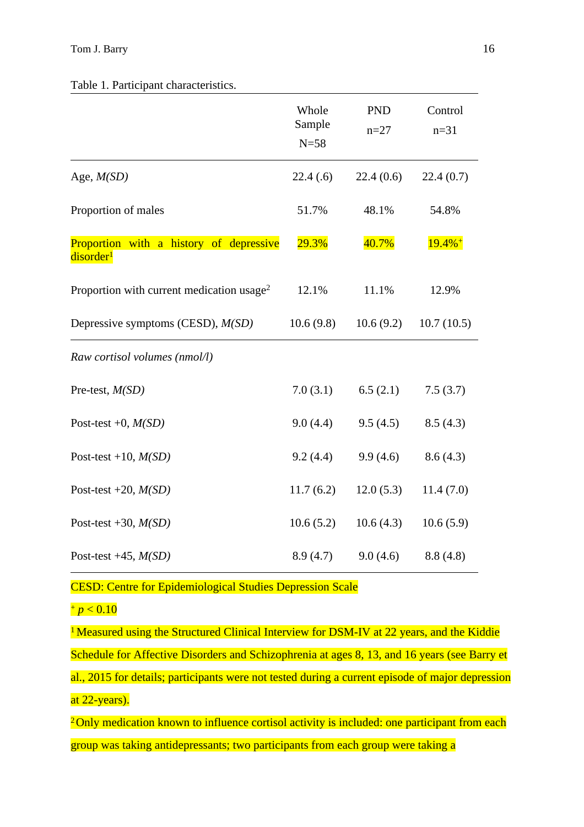|                                                                  | Whole<br>Sample<br>$N=58$ | <b>PND</b><br>$n = 27$ | Control<br>$n = 31$  |  |  |  |  |
|------------------------------------------------------------------|---------------------------|------------------------|----------------------|--|--|--|--|
| Age, $M(SD)$                                                     | 22.4(.6)                  | 22.4(0.6)              | 22.4(0.7)            |  |  |  |  |
| Proportion of males                                              | 51.7%                     | 48.1%                  | 54.8%                |  |  |  |  |
| Proportion with a history of depressive<br>disorder <sup>1</sup> | 29.3%                     | 40.7%                  | $19.4%$ <sup>+</sup> |  |  |  |  |
| Proportion with current medication usage <sup>2</sup>            | 12.1%                     | 11.1%                  | 12.9%                |  |  |  |  |
| Depressive symptoms (CESD), $M(SD)$                              | 10.6(9.8)                 | 10.6(9.2)              | 10.7(10.5)           |  |  |  |  |
| Raw cortisol volumes (nmol/l)                                    |                           |                        |                      |  |  |  |  |
| Pre-test, $M(SD)$                                                | 7.0(3.1)                  | 6.5(2.1)               | 7.5(3.7)             |  |  |  |  |
| Post-test +0, $M(SD)$                                            | 9.0(4.4)                  | 9.5(4.5)               | 8.5(4.3)             |  |  |  |  |
| Post-test +10, $M(SD)$                                           | 9.2(4.4)                  | 9.9(4.6)               | 8.6(4.3)             |  |  |  |  |
| Post-test +20, $M(SD)$                                           | 11.7(6.2)                 | 12.0(5.3)              | 11.4(7.0)            |  |  |  |  |
| Post-test +30, $M(SD)$                                           | 10.6(5.2)                 | 10.6(4.3)              | 10.6(5.9)            |  |  |  |  |
| Post-test +45, $M(SD)$                                           | 8.9(4.7)                  | 9.0(4.6)               | 8.8(4.8)             |  |  |  |  |

CESD: Centre for Epidemiological Studies Depression Scale

 $+p < 0.10$ 

<sup>1</sup> Measured using the Structured Clinical Interview for DSM-IV at 22 years, and the Kiddie Schedule for Affective Disorders and Schizophrenia at ages 8, 13, and 16 years (see Barry et al., 2015 for details; participants were not tested during a current episode of major depression at 22-years).

<sup>2</sup>Only medication known to influence cortisol activity is included: one participant from each group was taking antidepressants; two participants from each group were taking a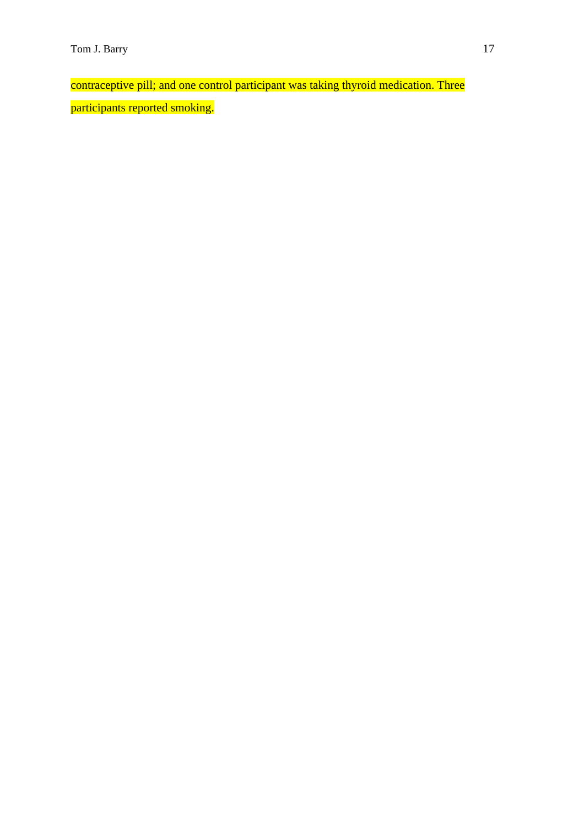contraceptive pill; and one control participant was taking thyroid medication. Three participants reported smoking.